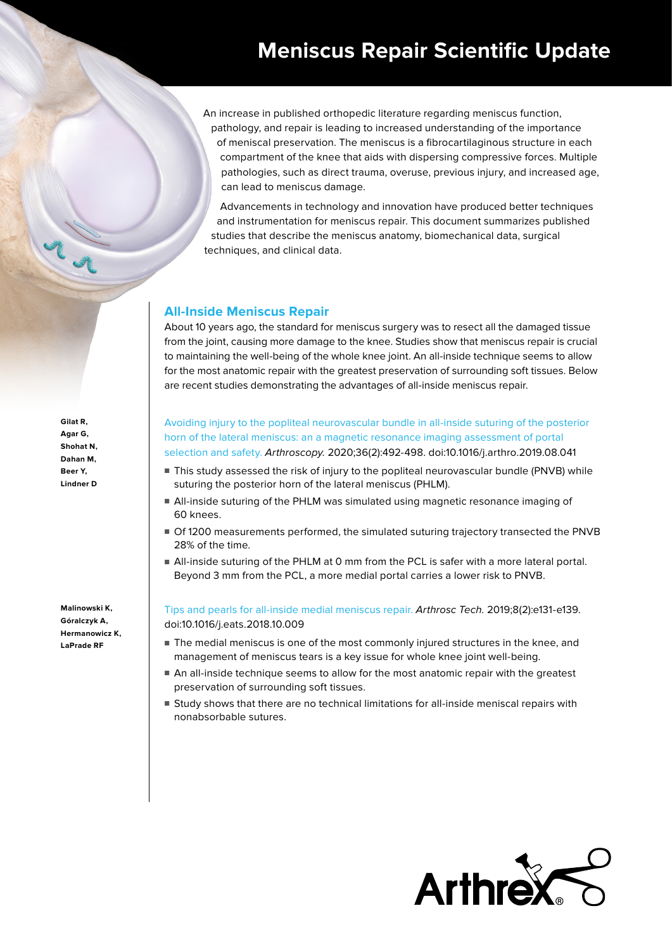An increase in published orthopedic literature regarding meniscus function, pathology, and repair is leading to increased understanding of the importance of meniscal preservation. The meniscus is a fibrocartilaginous structure in each compartment of the knee that aids with dispersing compressive forces. Multiple pathologies, such as direct trauma, overuse, previous injury, and increased age, can lead to meniscus damage.

Advancements in technology and innovation have produced better techniques and instrumentation for meniscus repair. This document summarizes published studies that describe the meniscus anatomy, biomechanical data, surgical techniques, and clinical data.

# **All-Inside Meniscus Repair**

About 10 years ago, the standard for meniscus surgery was to resect all the damaged tissue from the joint, causing more damage to the knee. Studies show that meniscus repair is crucial to maintaining the well-being of the whole knee joint. An all-inside technique seems to allow for the most anatomic repair with the greatest preservation of surrounding soft tissues. Below are recent studies demonstrating the advantages of all-inside meniscus repair.

**Gilat R, Agar G, Shohat N, Dahan M, Beer Y, Lindner D**

**Malinowski K, Góralczyk A, Hermanowicz K, LaPrade RF**

[Avoiding injury to the popliteal neurovascular bundle in all-inside suturing of the posterior](https://pubmed.ncbi.nlm.nih.gov/31901385/)  [horn of the lateral meniscus: an a magnetic resonance imaging assessment of portal](https://pubmed.ncbi.nlm.nih.gov/31901385/)  [selection and safety.](https://pubmed.ncbi.nlm.nih.gov/31901385/) Arthroscopy. 2020;36(2):492-498. doi:10.1016/j.arthro.2019.08.041

- This study assessed the risk of injury to the popliteal neurovascular bundle (PNVB) while suturing the posterior horn of the lateral meniscus (PHLM).
- All-inside suturing of the PHLM was simulated using magnetic resonance imaging of 60 knees.
- Of 1200 measurements performed, the simulated suturing trajectory transected the PNVB 28% of the time.
- All-inside suturing of the PHLM at 0 mm from the PCL is safer with a more lateral portal. Beyond 3 mm from the PCL, a more medial portal carries a lower risk to PNVB.

[Tips and pearls for all-inside medial meniscus repair.](https://pubmed.ncbi.nlm.nih.gov/30899664/) Arthrosc Tech. 2019;8(2):e131-e139. doi:10.1016/j.eats.2018.10.009

- The medial meniscus is one of the most commonly injured structures in the knee, and management of meniscus tears is a key issue for whole knee joint well-being.
- An all-inside technique seems to allow for the most anatomic repair with the greatest preservation of surrounding soft tissues.
- Study shows that there are no technical limitations for all-inside meniscal repairs with nonabsorbable sutures.

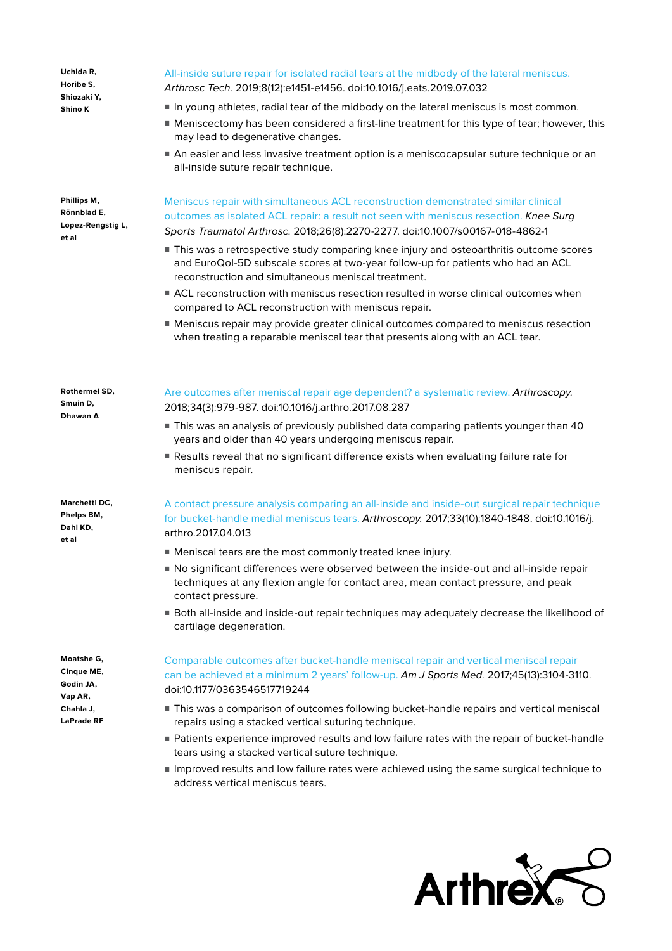**Uchida R, Horibe S, Shiozaki Y, Shino K**

**Phillips M, Rönnblad E, Lopez-Rengstig L, et al**

**Rothermel SD, Smuin D, Dhawan A**

**Marchetti DC, Phelps BM, Dahl KD, et al**

**Moatshe G, Cinque ME, Godin JA, Vap AR, Chahla J, LaPrade RF**

## [All-inside suture repair for isolated radial tears at the midbody of the lateral meniscus.](https://pubmed.ncbi.nlm.nih.gov/31890521/)

Arthrosc Tech. 2019;8(12):e1451-e1456. doi:10.1016/j.eats.2019.07.032

- In young athletes, radial tear of the midbody on the lateral meniscus is most common.
- Meniscectomy has been considered a first-line treatment for this type of tear; however, this may lead to degenerative changes.
- An easier and less invasive treatment option is a meniscocapsular suture technique or an all-inside suture repair technique.

[Meniscus repair with simultaneous ACL reconstruction demonstrated similar clinical](https://pubmed.ncbi.nlm.nih.gov/29492642/)  [outcomes as isolated ACL repair: a result not seen with meniscus resection.](https://pubmed.ncbi.nlm.nih.gov/29492642/) Knee Surg Sports Traumatol Arthrosc. 2018;26(8):2270-2277. doi:10.1007/s00167-018-4862-1

- This was a retrospective study comparing knee injury and osteoarthritis outcome scores and EuroQol-5D subscale scores at two-year follow-up for patients who had an ACL reconstruction and simultaneous meniscal treatment.
- ACL reconstruction with meniscus resection resulted in worse clinical outcomes when compared to ACL reconstruction with meniscus repair.
- Meniscus repair may provide greater clinical outcomes compared to meniscus resection when treating a reparable meniscal tear that presents along with an ACL tear.

[Are outcomes after meniscal repair age dependent? a systematic review.](https://pubmed.ncbi.nlm.nih.gov/29273257/) Arthroscopy. 2018;34(3):979-987. doi:10.1016/j.arthro.2017.08.287

- This was an analysis of previously published data comparing patients younger than 40 years and older than 40 years undergoing meniscus repair.
- Results reveal that no significant difference exists when evaluating failure rate for meniscus repair.

[A](https://pubmed.ncbi.nlm.nih.gov/28754246/) contact pressure analysis comparing an all-inside and inside-out surgical repair technique for bucket-handle medial meniscus tears. Arthroscopy. 2017;33(10):1840-1848. doi:10.1016/j. arthro.2017.04.013

- Meniscal tears are the most commonly treated knee injury.
- No significant differences were observed between the inside-out and all-inside repair techniques at any flexion angle for contact area, mean contact pressure, and peak contact pressure.
- Both all-inside and inside-out repair techniques may adequately decrease the likelihood of cartilage degeneration.

[Comparable outcomes after bucket-handle meniscal repair and vertical meniscal repair](https://pubmed.ncbi.nlm.nih.gov/28806092/)  [can be achieved at a minimum 2 years' follow-up.](https://pubmed.ncbi.nlm.nih.gov/28806092/) Am J Sports Med. 2017;45(13):3104-3110. doi:10.1177/0363546517719244

- This was a comparison of outcomes following bucket-handle repairs and vertical meniscal repairs using a stacked vertical suturing technique.
- Patients experience improved results and low failure rates with the repair of bucket-handle tears using a stacked vertical suture technique.
- Improved results and low failure rates were achieved using the same surgical technique to address vertical meniscus tears.

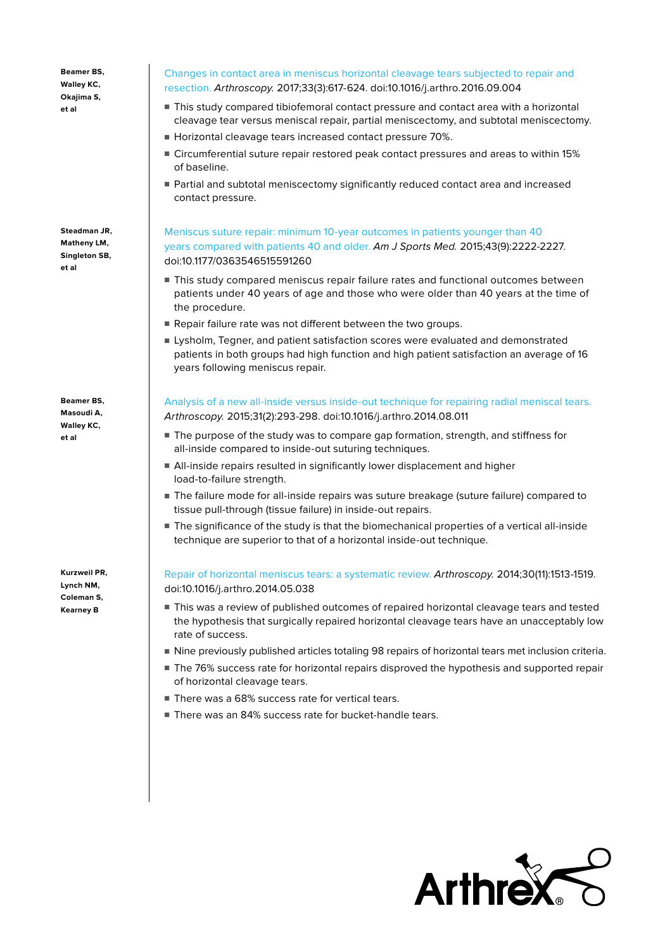**Beamer BS, Walley KC, Okajima S, et al**

**Steadman JR, Matheny LM, Singleton SB, et al**

**Beamer BS, Masoudi A, Walley KC, et al**

**Kurzweil PR, Lynch NM, Coleman S, Kearney B**

#### [Changes in contact area in meniscus horizontal cleavage tears subjected to repair and](https://pubmed.ncbi.nlm.nih.gov/27956232/)  [resection.](https://pubmed.ncbi.nlm.nih.gov/27956232/) Arthroscopy. 2017;33(3):617-624. doi:10.1016/j.arthro.2016.09.004

- This study compared tibiofemoral contact pressure and contact area with a horizontal cleavage tear versus meniscal repair, partial meniscectomy, and subtotal meniscectomy.
- Horizontal cleavage tears increased contact pressure 70%.
- Circumferential suture repair restored peak contact pressures and areas to within 15% of baseline.
- Partial and subtotal meniscectomy significantly reduced contact area and increased contact pressure.

### [Meniscus suture repair: minimum 10-year outcomes in patients younger than 40](https://pubmed.ncbi.nlm.nih.gov/26187129/)  [years compared with patients 40 and older.](https://pubmed.ncbi.nlm.nih.gov/26187129/) Am J Sports Med. 2015;43(9):2222-2227. doi:10.1177/0363546515591260

- This study compared meniscus repair failure rates and functional outcomes between patients under 40 years of age and those who were older than 40 years at the time of the procedure.
- Repair failure rate was not different between the two groups.
- Lysholm, Tegner, and patient satisfaction scores were evaluated and demonstrated patients in both groups had high function and high patient satisfaction an average of 16 years following meniscus repair.

[Analysis of a new all-inside versus inside-out technique for repairing radial meniscal tears.](https://pubmed.ncbi.nlm.nih.gov/25312766/) Arthroscopy. 2015;31(2):293-298. doi:10.1016/j.arthro.2014.08.011

- The purpose of the study was to compare gap formation, strength, and stiffness for all-inside compared to inside-out suturing techniques.
- All-inside repairs resulted in significantly lower displacement and higher load-to-failure strength.
- The failure mode for all-inside repairs was suture breakage (suture failure) compared to tissue pull-through (tissue failure) in inside-out repairs.
- The significance of the study is that the biomechanical properties of a vertical all-inside technique are superior to that of a horizontal inside-out technique.

[Repair of horizontal meniscus tears: a systematic review.](https://pubmed.ncbi.nlm.nih.gov/25108905/) Arthroscopy. 2014;30(11):1513-1519. doi:10.1016/j.arthro.2014.05.038

- This was a review of published outcomes of repaired horizontal cleavage tears and tested the hypothesis that surgically repaired horizontal cleavage tears have an unacceptably low rate of success.
- Nine previously published articles totaling 98 repairs of horizontal tears met inclusion criteria.
- The 76% success rate for horizontal repairs disproved the hypothesis and supported repair of horizontal cleavage tears.
- There was a 68% success rate for vertical tears.
- There was an 84% success rate for bucket-handle tears.